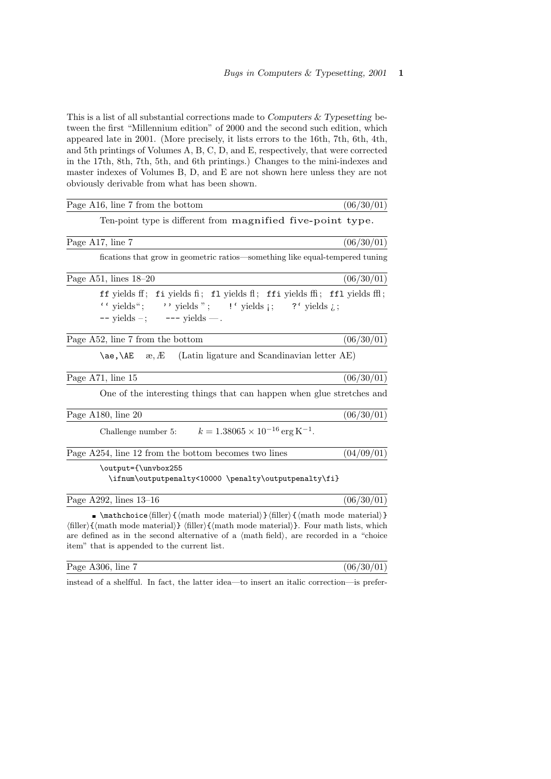This is a list of all substantial corrections made to Computers  $&$  Typesetting between the first "Millennium edition" of 2000 and the second such edition, which appeared late in 2001. (More precisely, it lists errors to the 16th, 7th, 6th, 4th, and 5th printings of Volumes A, B, C, D, and E, respectively, that were corrected in the 17th, 8th, 7th, 5th, and 6th printings.) Changes to the mini-indexes and master indexes of Volumes B, D, and E are not shown here unless they are not obviously derivable from what has been shown.

| Page A16, line 7 from the bottom                                                                                                                                                                                                                                                                                                                                                                                                         | (06/30/01) |
|------------------------------------------------------------------------------------------------------------------------------------------------------------------------------------------------------------------------------------------------------------------------------------------------------------------------------------------------------------------------------------------------------------------------------------------|------------|
| Ten-point type is different from magnified five-point type.                                                                                                                                                                                                                                                                                                                                                                              |            |
| Page A17, line 7                                                                                                                                                                                                                                                                                                                                                                                                                         | (06/30/01) |
| fications that grow in geometric ratios—something like equal-tempered tuning                                                                                                                                                                                                                                                                                                                                                             |            |
| Page A51, lines $18-20$                                                                                                                                                                                                                                                                                                                                                                                                                  | (06/30/01) |
| ff yields ff; fi yields fi; fl yields fi; ffi yields ffi; ffl yields ffi;<br>" yields"; " yields"; $\cdot$ " yields ; ?" yields $\lambda$ ;<br>$--$ yields $-$ ; $---$ yields —.                                                                                                                                                                                                                                                         |            |
| Page A52, line 7 from the bottom                                                                                                                                                                                                                                                                                                                                                                                                         | (06/30/01) |
| \ae,\AE<br>(Latin ligature and Scandinavian letter AE)<br>æ, Æ                                                                                                                                                                                                                                                                                                                                                                           |            |
| Page A71, line 15                                                                                                                                                                                                                                                                                                                                                                                                                        | (06/30/01) |
| One of the interesting things that can happen when glue stretches and                                                                                                                                                                                                                                                                                                                                                                    |            |
| Page A180, line 20                                                                                                                                                                                                                                                                                                                                                                                                                       | (06/30/01) |
| Challenge number 5: $k = 1.38065 \times 10^{-16} \text{ erg K}^{-1}$ .                                                                                                                                                                                                                                                                                                                                                                   |            |
| Page A254, line 12 from the bottom becomes two lines                                                                                                                                                                                                                                                                                                                                                                                     | (04/09/01) |
| \output={\unvbox255<br>\ifnum\outputpenalty<10000 \penalty\outputpenalty\fi}                                                                                                                                                                                                                                                                                                                                                             |            |
| Page A292, lines $13-16$                                                                                                                                                                                                                                                                                                                                                                                                                 | (06/30/01) |
| $\blacksquare$ \mathchoice $\langle$ filler $\rangle$ { $\langle$ math mode material $\rangle$ } $\langle$ filler $\rangle$ { $\langle$ math mode material $\rangle$ }<br>$\{\text{filter}\}\{\text{math model}\}$ (filler) $\{\text{math model}\}\$ . Four math lists, which<br>are defined as in the second alternative of a $\langle$ math field $\rangle$ , are recorded in a "choice<br>item" that is appended to the current list. |            |

| Page A306, line | (06/30/01) |
|-----------------|------------|
|                 |            |

instead of a shelfful. In fact, the latter idea—to insert an italic correction—is prefer-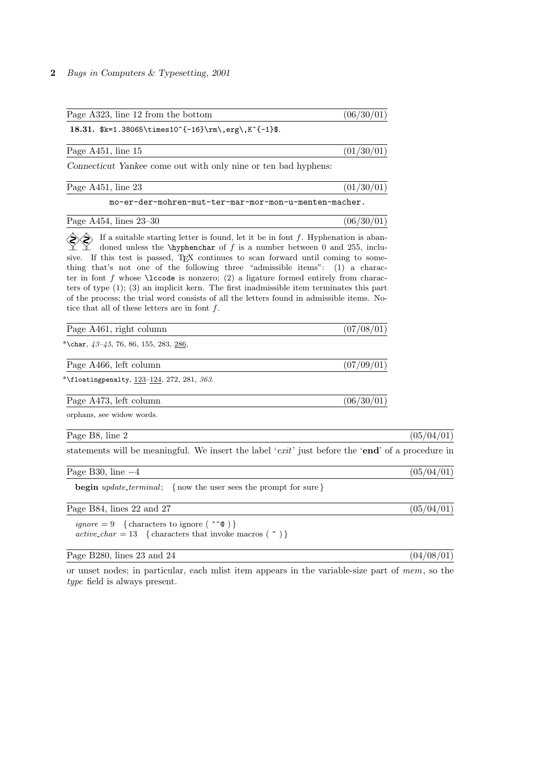| Page A323, line 12 from the bottom                                                                                                                                                                                                                                                                                                                                                                                                                                                                                                                                                                                                                                                                                                | (06/30/01) |
|-----------------------------------------------------------------------------------------------------------------------------------------------------------------------------------------------------------------------------------------------------------------------------------------------------------------------------------------------------------------------------------------------------------------------------------------------------------------------------------------------------------------------------------------------------------------------------------------------------------------------------------------------------------------------------------------------------------------------------------|------------|
| 18.31. \$k=1.38065\times10^{-16}\rm\,erg\,K^{-1}\$.                                                                                                                                                                                                                                                                                                                                                                                                                                                                                                                                                                                                                                                                               |            |
| Page A451, line 15                                                                                                                                                                                                                                                                                                                                                                                                                                                                                                                                                                                                                                                                                                                | (01/30/01) |
| Connecticut Yankee come out with only nine or ten bad hyphens:                                                                                                                                                                                                                                                                                                                                                                                                                                                                                                                                                                                                                                                                    |            |
| Page A451, line 23                                                                                                                                                                                                                                                                                                                                                                                                                                                                                                                                                                                                                                                                                                                | (01/30/01) |
| mo-er-der-mohren-mut-ter-mar-mor-mon-u-menten-macher.                                                                                                                                                                                                                                                                                                                                                                                                                                                                                                                                                                                                                                                                             |            |
| Page A454, lines $23-30$                                                                                                                                                                                                                                                                                                                                                                                                                                                                                                                                                                                                                                                                                                          | (06/30/01) |
| If a suitable starting letter is found, let it be in font $f$ . Hyphenation is aban-<br>doned unless the $\hbar$ - <b>hyphenchar</b> of f is a number between 0 and 255, inclu-<br>sive. If this test is passed, T <sub>F</sub> X continues to scan forward until coming to some-<br>thing that's not one of the following three "admissible items": (1) a charac-<br>ter in font f whose $\lvert \text{locode} \rvert$ is nonzero; (2) a ligature formed entirely from charac-<br>ters of type $(1)$ ; $(3)$ an implicit kern. The first inadmissible item terminates this part<br>of the process; the trial word consists of all the letters found in admissible items. No-<br>tice that all of these letters are in font $f$ . |            |
| Page A461, right column                                                                                                                                                                                                                                                                                                                                                                                                                                                                                                                                                                                                                                                                                                           | (07/08/01) |
| *\char, $43-45$ , 76, 86, 155, 283, 286,                                                                                                                                                                                                                                                                                                                                                                                                                                                                                                                                                                                                                                                                                          |            |
| Page A466, left column                                                                                                                                                                                                                                                                                                                                                                                                                                                                                                                                                                                                                                                                                                            | (07/09/01) |
| *\floatingpenalty, $123-124$ , $272$ , $281$ , $363$ .                                                                                                                                                                                                                                                                                                                                                                                                                                                                                                                                                                                                                                                                            |            |
| Page A473, left column                                                                                                                                                                                                                                                                                                                                                                                                                                                                                                                                                                                                                                                                                                            | (06/30/01) |
| orphans, see widow words.                                                                                                                                                                                                                                                                                                                                                                                                                                                                                                                                                                                                                                                                                                         |            |
| Page B8, line 2                                                                                                                                                                                                                                                                                                                                                                                                                                                                                                                                                                                                                                                                                                                   | (05/04/01) |
| statements will be meaningful. We insert the label 'exit' just before the 'end' of a procedure in                                                                                                                                                                                                                                                                                                                                                                                                                                                                                                                                                                                                                                 |            |
| Page B30, line $-4$                                                                                                                                                                                                                                                                                                                                                                                                                                                                                                                                                                                                                                                                                                               | (05/04/01) |
| <b>begin</b> <i>update_terminal</i> ; {now the user sees the prompt for sure}                                                                                                                                                                                                                                                                                                                                                                                                                                                                                                                                                                                                                                                     |            |
| Page B84, lines 22 and 27                                                                                                                                                                                                                                                                                                                                                                                                                                                                                                                                                                                                                                                                                                         | (05/04/01) |
| <i>ignore</i> = 9 { characters to ignore $(\uparrow \uparrow \mathsf{C})$ }<br>$active\_char = 13$ {characters that invoke macros ( $\sim$ )}                                                                                                                                                                                                                                                                                                                                                                                                                                                                                                                                                                                     |            |
| Page B280, lines 23 and 24                                                                                                                                                                                                                                                                                                                                                                                                                                                                                                                                                                                                                                                                                                        | (04/08/01) |
|                                                                                                                                                                                                                                                                                                                                                                                                                                                                                                                                                                                                                                                                                                                                   |            |

or unset nodes; in particular, each mlist item appears in the variable-size part of mem, so the type field is always present.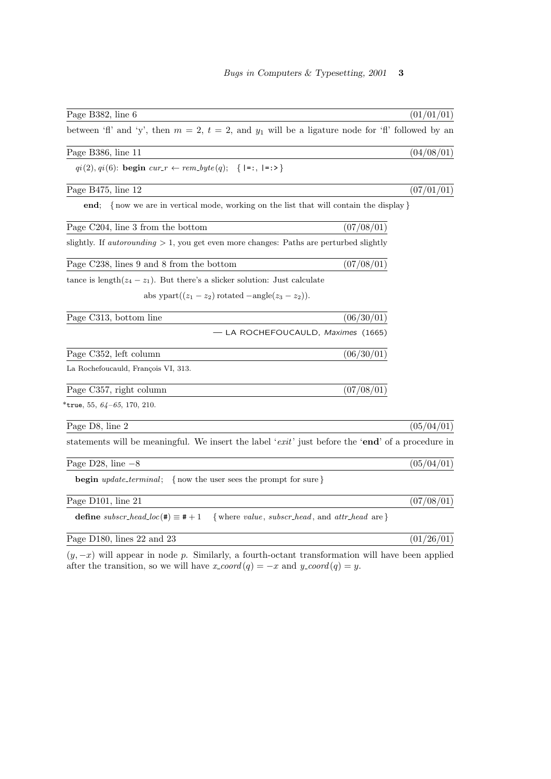| Page B382, line 6                                                                                        | (01/01/01) |
|----------------------------------------------------------------------------------------------------------|------------|
| between 'fl' and 'y', then $m = 2$ , $t = 2$ , and $y_1$ will be a ligature node for 'fl' followed by an |            |
| Page B386, line 11                                                                                       | (04/08/01) |
| $qi(2), qi(6)$ : begin $cur_r \leftarrow rem_byte(q);$ { =:, =:>}                                        |            |
| Page B475, line 12                                                                                       | (07/01/01) |
| {now we are in vertical mode, working on the list that will contain the display }<br>end;                |            |
| Page C204, line 3 from the bottom                                                                        | (07/08/01) |
| slightly. If <i>autorounding</i> $> 1$ , you get even more changes: Paths are perturbed slightly         |            |
| Page C238, lines 9 and 8 from the bottom                                                                 | (07/08/01) |
| tance is length $(z_4 - z_1)$ . But there's a slicker solution: Just calculate                           |            |
| abs ypart $((z_1 - z_2)$ rotated $-\text{angle}(z_3 - z_2)).$                                            |            |
| Page C313, bottom line                                                                                   | (06/30/01) |
| - LA ROCHEFOUCAULD, Maximes (1665)                                                                       |            |
| Page C352, left column                                                                                   | (06/30/01) |
| La Rochefoucauld, François VI, 313.                                                                      |            |
| Page C357, right column                                                                                  | (07/08/01) |
| *true, 55, $64-65$ , 170, 210.                                                                           |            |
| Page D8, line 2                                                                                          | (05/04/01) |
| statements will be meaningful. We insert the label ' $exit'$ just before the 'end' of a procedure in     |            |
| Page D28, line $-8$                                                                                      | (05/04/01) |
| <b>begin</b> <i>update_terminal</i> ; {now the user sees the prompt for sure}                            |            |
| Page D101, line 21                                                                                       | (07/08/01) |
| define subscr_head_loc(#) $\equiv$ # + 1<br>{where $value$ , $subscr$ -head, and $attr$ -head are }      |            |
| Page D180, lines 22 and 23                                                                               | (01/26/01) |

 $(y, -x)$  will appear in node p. Similarly, a fourth-octant transformation will have been applied after the transition, so we will have  $x\text{-}coord(q) = -x$  and  $y\text{-}coord(q) = y$ .